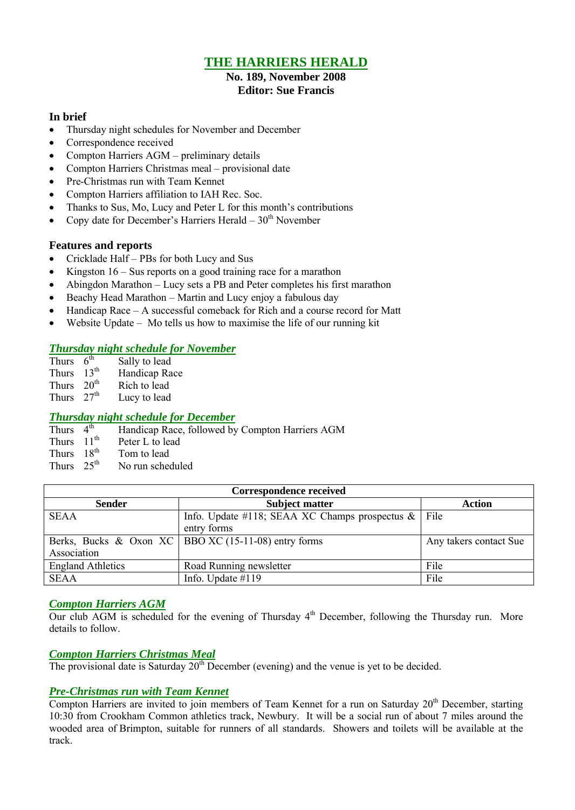## **THE HARRIERS HERALD**

#### **No. 189, November 2008 Editor: Sue Francis**

### **In brief**

- Thursday night schedules for November and December
- Correspondence received
- Compton Harriers AGM preliminary details
- Compton Harriers Christmas meal provisional date
- Pre-Christmas run with Team Kennet
- Compton Harriers affiliation to IAH Rec. Soc.
- Thanks to Sus, Mo, Lucy and Peter L for this month's contributions
- Copy date for December's Harriers Herald  $30<sup>th</sup>$  November

### **Features and reports**

- Cricklade Half PBs for both Lucy and Sus
- Kingston  $16 Sus$  reports on a good training race for a marathon
- Abingdon Marathon Lucy sets a PB and Peter completes his first marathon
- Beachy Head Marathon Martin and Lucy enjoy a fabulous day
- Handicap Race A successful comeback for Rich and a course record for Matt
- Website Update Mo tells us how to maximise the life of our running kit

### *Thursday night schedule for November*

| Thurs        | 6 <sup>th</sup>  | Sally to lead |
|--------------|------------------|---------------|
| <b>Thurs</b> | $13^{\text{th}}$ | Handicap Race |
| Thurs        | 20 <sup>th</sup> | Rich to lead  |
| Thurs        | 27 <sup>th</sup> | Lucy to lead  |

### *Thursday night schedule for December*

Thurs  $4^{\text{th}}$ Handicap Race, followed by Compton Harriers AGM

- Thurs  $11<sup>th</sup>$  Peter L to lead
- 
- Thurs  $18^{th}$  Tom to lead<br>Thurs  $25^{th}$  No run schee No run scheduled

| <b>Correspondence received</b> |                                                        |               |  |  |  |  |  |  |  |
|--------------------------------|--------------------------------------------------------|---------------|--|--|--|--|--|--|--|
| <b>Sender</b>                  | <b>Subject matter</b>                                  | <b>Action</b> |  |  |  |  |  |  |  |
| <b>SEAA</b>                    | Info. Update #118; SEAA XC Champs prospectus $\&$      | File          |  |  |  |  |  |  |  |
|                                | entry forms                                            |               |  |  |  |  |  |  |  |
|                                | Berks, Bucks & Oxon XC   BBO XC (15-11-08) entry forms |               |  |  |  |  |  |  |  |
| Association                    |                                                        |               |  |  |  |  |  |  |  |
| <b>England Athletics</b>       | Road Running newsletter                                | File          |  |  |  |  |  |  |  |
| <b>SEAA</b>                    | Info. Update $#119$                                    | File          |  |  |  |  |  |  |  |

### *Compton Harriers AGM*

Our club AGM is scheduled for the evening of Thursday 4<sup>th</sup> December, following the Thursday run. More details to follow.

## *Compton Harriers Christmas Meal*

The provisional date is Saturday  $20<sup>th</sup>$  December (evening) and the venue is yet to be decided.

### *Pre-Christmas run with Team Kennet*

Compton Harriers are invited to join members of Team Kennet for a run on Saturday  $20<sup>th</sup>$  December, starting 10:30 from Crookham Common athletics track, Newbury. It will be a social run of about 7 miles around the wooded area of Brimpton, suitable for runners of all standards. Showers and toilets will be available at the track.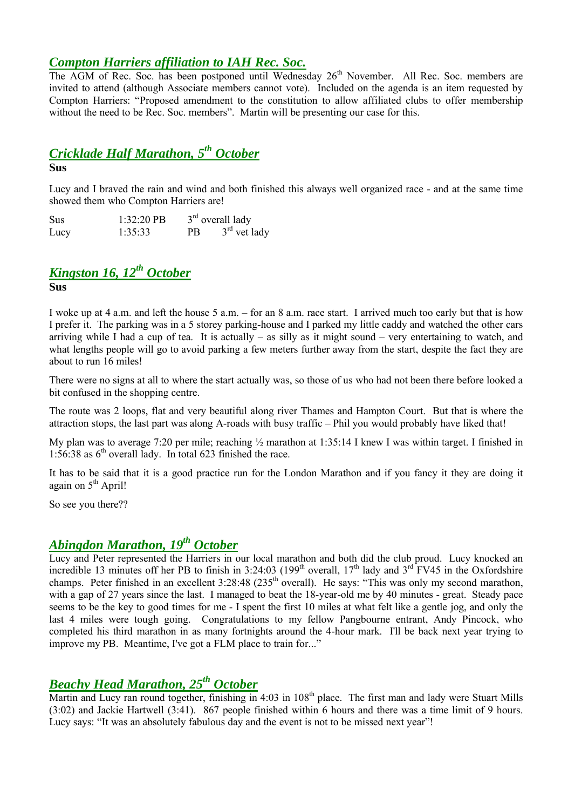## *Compton Harriers affiliation to IAH Rec. Soc.*

The AGM of Rec. Soc. has been postponed until Wednesday 26<sup>th</sup> November. All Rec. Soc. members are invited to attend (although Associate members cannot vote). Included on the agenda is an item requested by Compton Harriers: "Proposed amendment to the constitution to allow affiliated clubs to offer membership without the need to be Rec. Soc. members". Martin will be presenting our case for this.

## *Cricklade Half Marathon, 5 th October*

### **Sus**

Lucy and I braved the rain and wind and both finished this always well organized race - and at the same time showed them who Compton Harriers are!

Sus 1:32:20 PB <sup>rd</sup> overall lady Lucy  $1:35:33$  PB  $3<sup>rd</sup>$  vet lady

# *Kingston 16, 12th October*

**Sus**

I woke up at 4 a.m. and left the house 5 a.m. – for an 8 a.m. race start. I arrived much too early but that is how I prefer it. The parking was in a 5 storey parking-house and I parked my little caddy and watched the other cars arriving while I had a cup of tea. It is actually – as silly as it might sound – very entertaining to watch, and what lengths people will go to avoid parking a few meters further away from the start, despite the fact they are about to run 16 miles!

There were no signs at all to where the start actually was, so those of us who had not been there before looked a bit confused in the shopping centre.

The route was 2 loops, flat and very beautiful along river Thames and Hampton Court. But that is where the attraction stops, the last part was along A-roads with busy traffic – Phil you would probably have liked that!

My plan was to average 7:20 per mile; reaching  $\frac{1}{2}$  marathon at 1:35:14 I knew I was within target. I finished in 1:56:38 as  $6<sup>th</sup>$  overall lady. In total 623 finished the race.

It has to be said that it is a good practice run for the London Marathon and if you fancy it they are doing it again on 5<sup>th</sup> April!

So see you there??

## *Abingdon Marathon, 19th October*

Lucy and Peter represented the Harriers in our local marathon and both did the club proud. Lucy knocked an incredible 13 minutes off her PB to finish in 3:24:03 (199<sup>th</sup> overall,  $17<sup>th</sup>$  lady and  $3<sup>rd</sup>$  FV45 in the Oxfordshire champs. Peter finished in an excellent 3:28:48 (235<sup>th</sup> overall). He says: "This was only my second marathon, with a gap of 27 years since the last. I managed to beat the 18-year-old me by 40 minutes - great. Steady pace seems to be the key to good times for me - I spent the first 10 miles at what felt like a gentle jog, and only the last 4 miles were tough going. Congratulations to my fellow Pangbourne entrant, Andy Pincock, who completed his third marathon in as many fortnights around the 4-hour mark. I'll be back next year trying to improve my PB. Meantime, I've got a FLM place to train for..."

## *Beachy Head Marathon, 25th October*

Martin and Lucy ran round together, finishing in 4:03 in 108<sup>th</sup> place. The first man and lady were Stuart Mills (3:02) and Jackie Hartwell (3:41). 867 people finished within 6 hours and there was a time limit of 9 hours. Lucy says: "It was an absolutely fabulous day and the event is not to be missed next year"!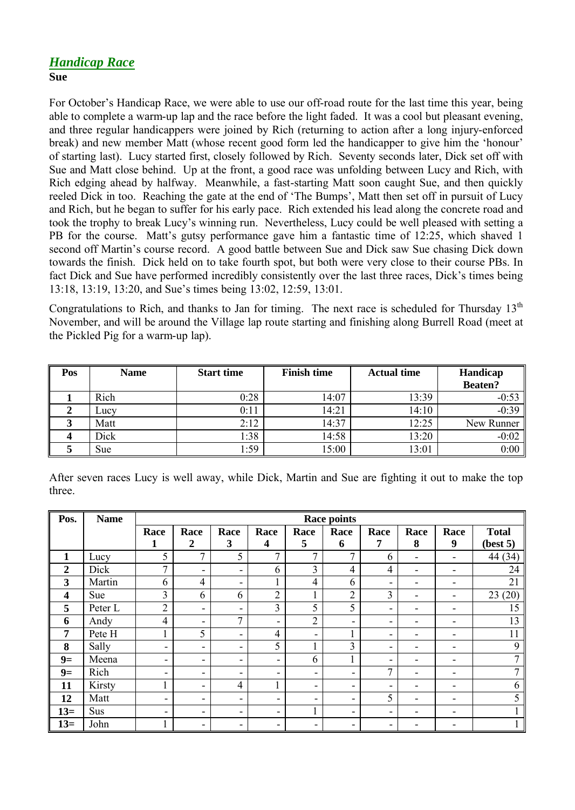## *Handicap Race* **Sue**

For October's Handicap Race, we were able to use our off-road route for the last time this year, being able to complete a warm-up lap and the race before the light faded. It was a cool but pleasant evening, and three regular handicappers were joined by Rich (returning to action after a long injury-enforced break) and new member Matt (whose recent good form led the handicapper to give him the 'honour' of starting last). Lucy started first, closely followed by Rich. Seventy seconds later, Dick set off with Sue and Matt close behind. Up at the front, a good race was unfolding between Lucy and Rich, with Rich edging ahead by halfway. Meanwhile, a fast-starting Matt soon caught Sue, and then quickly reeled Dick in too. Reaching the gate at the end of 'The Bumps', Matt then set off in pursuit of Lucy and Rich, but he began to suffer for his early pace. Rich extended his lead along the concrete road and took the trophy to break Lucy's winning run. Nevertheless, Lucy could be well pleased with setting a PB for the course. Matt's gutsy performance gave him a fantastic time of 12:25, which shaved 1 second off Martin's course record. A good battle between Sue and Dick saw Sue chasing Dick down towards the finish. Dick held on to take fourth spot, but both were very close to their course PBs. In fact Dick and Sue have performed incredibly consistently over the last three races, Dick's times being 13:18, 13:19, 13:20, and Sue's times being 13:02, 12:59, 13:01.

Congratulations to Rich, and thanks to Jan for timing. The next race is scheduled for Thursday  $13<sup>th</sup>$ November, and will be around the Village lap route starting and finishing along Burrell Road (meet at the Pickled Pig for a warm-up lap).

| Pos | <b>Name</b> | <b>Start time</b> | <b>Finish time</b> | <b>Actual time</b> | Handicap<br><b>Beaten?</b> |
|-----|-------------|-------------------|--------------------|--------------------|----------------------------|
|     | Rich        | 0:28              | 14:07              | 13:39              | $-0:53$                    |
|     | Lucy        | 0:11              | 14:21              | 14:10              | $-0:39$                    |
|     | Matt        | 2:12              | 14:37              | 12:25              | New Runner                 |
|     | Dick        | 1:38              | 14:58              | 13:20              | $-0:02$                    |
|     | Sue         | 1:59              | 15:00              | 13:01              | 0:00                       |

|        |  |  |  |  |  |  | After seven races Lucy is well away, while Dick, Martin and Sue are fighting it out to make the top |  |  |  |
|--------|--|--|--|--|--|--|-----------------------------------------------------------------------------------------------------|--|--|--|
| three. |  |  |  |  |  |  |                                                                                                     |  |  |  |

| Pos.             | <b>Name</b> | <b>Race points</b>       |                          |                          |                |                |                |                          |                          |                              |              |
|------------------|-------------|--------------------------|--------------------------|--------------------------|----------------|----------------|----------------|--------------------------|--------------------------|------------------------------|--------------|
|                  |             | Race                     | Race                     | Race                     | Race           | Race           | Race           | Race                     | Race                     | Race                         | <b>Total</b> |
|                  |             | 1                        | $\boldsymbol{2}$         | 3                        | 4              | 5              | 6              | 7                        | 8                        | 9                            | (best 5)     |
| $\mathbf{1}$     | Lucy        | 5                        | 7                        | 5                        | 7              | $\overline{7}$ | $\mathbf{r}$   | 6                        | $\overline{\phantom{0}}$ | $\overline{\phantom{0}}$     | 44 (34)      |
| $\boldsymbol{2}$ | Dick        | $\overline{7}$           | $\overline{\phantom{a}}$ | ۰                        | 6              | $\overline{3}$ | 4              | $\overline{4}$           | $\overline{\phantom{a}}$ | $\qquad \qquad \blacksquare$ | 24           |
| 3                | Martin      | 6                        | $\overline{4}$           | ۰                        |                | $\overline{4}$ | 6              | ۰                        | $\overline{\phantom{0}}$ | ۰                            | 21           |
| $\boldsymbol{4}$ | Sue         | 3                        | 6                        | 6                        | 2              |                | $\overline{2}$ | 3                        | $\overline{\phantom{0}}$ | -                            | (20)<br>23   |
| 5                | Peter L     | $\overline{2}$           | -                        | ۰                        | 3              | 5              | 5              | ۰                        |                          |                              | 15           |
| 6                | Andy        | 4                        | ۰                        | $\mathcal{I}$            | ۰              | $\overline{2}$ | -              | $\overline{\phantom{0}}$ |                          | ٠                            | 13           |
| 7                | Pete H      |                          | 5                        | ۰                        | $\overline{4}$ | -              |                | ۰                        |                          |                              | 11           |
| 8                | Sally       | ۰.                       | ۰                        | Ξ.                       | 5              |                | 3              | ۰                        |                          | ۰                            | 9            |
| $9=$             | Meena       | $\overline{\phantom{a}}$ | ۰                        | $\overline{\phantom{0}}$ | ۰              | 6              |                | $\overline{\phantom{0}}$ |                          | ۰                            | ⇁            |
| $9=$             | Rich        | ۰                        | ۰                        | ۰                        | ۰              | -              | -              | 7                        |                          |                              |              |
| 11               | Kirsty      |                          | ۰                        | $\overline{4}$           |                | ٠              | -              | $\overline{\phantom{0}}$ |                          |                              | b            |
| 12               | Matt        | $\overline{\phantom{a}}$ | ۰                        | ۰                        | ۰              | Ξ.             | -              | 5                        |                          |                              | 5            |
| $13=$            | Sus         | $\overline{\phantom{a}}$ | ۰                        | ۰                        | -              |                | -              | $\overline{\phantom{0}}$ |                          |                              |              |
| $13=$            | John        |                          | -                        | ۰                        | ۰              | Ξ.             | -              | $\overline{\phantom{0}}$ |                          |                              |              |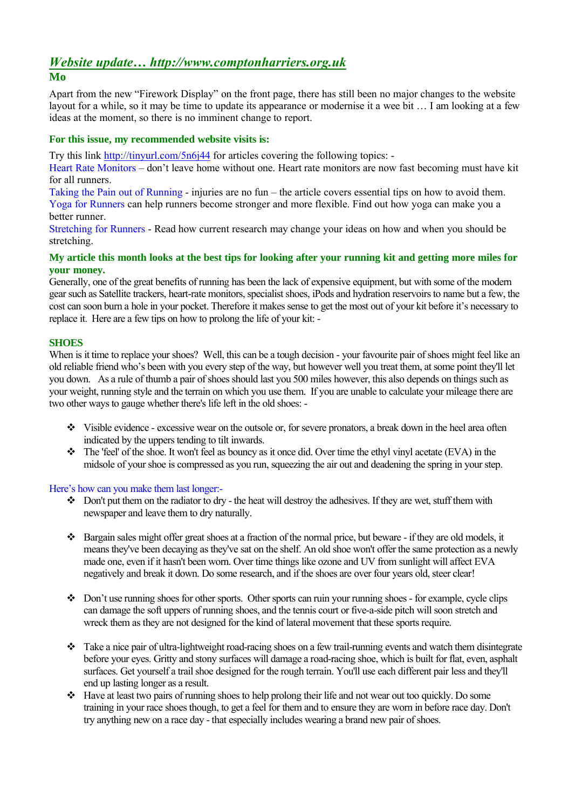### *Website update… http://www.comptonharriers.org.uk* **Mo**

### Apart from the new "Firework Display" on the front page, there has still been no major changes to the website layout for a while, so it may be time to update its appearance or modernise it a wee bit … I am looking at a few ideas at the moment, so there is no imminent change to report.

### **For this issue, my recommended website visits is:**

Try this link http://tinyurl.com/5n6j44 for articles covering the following topics: -

Heart Rate Monitors – don't leave home without one. Heart rate monitors are now fast becoming must have kit for all runners.

Taking the Pain out of Running - injuries are no fun – the article covers essential tips on how to avoid them.

Yoga for Runners can help runners become stronger and more flexible. Find out how yoga can make you a better runner.

Stretching for Runners - Read how current research may change your ideas on how and when you should be stretching.

### **My article this month looks at the best tips for looking after your running kit and getting more miles for your money.**

Generally, one of the great benefits of running has been the lack of expensive equipment, but with some of the modern gear such as Satellite trackers, heart-rate monitors, specialist shoes, iPods and hydration reservoirs to name but a few, the cost can soon burn a hole in your pocket. Therefore it makes sense to get the most out of your kit before it's necessary to replace it. Here are a few tips on how to prolong the life of your kit: -

### **SHOES**

When is it time to replace your shoes? Well, this can be a tough decision - your favourite pair of shoes might feel like an old reliable friend who's been with you every step of the way, but however well you treat them, at some point they'll let you down. As a rule of thumb a pair of shoes should last you 500 miles however, this also depends on things such as your weight, running style and the terrain on which you use them. If you are unable to calculate your mileage there are two other ways to gauge whether there's life left in the old shoes: -

- Visible evidence excessive wear on the outsole or, for severe pronators, a break down in the heel area often indicated by the uppers tending to tilt inwards.
- The 'feel' of the shoe. It won't feel as bouncy as it once did. Over time the ethyl vinyl acetate (EVA) in the midsole of your shoe is compressed as you run, squeezing the air out and deadening the spring in your step.

Here's how can you make them last longer:-

- Don't put them on the radiator to dry the heat will destroy the adhesives. If they are wet, stuff them with newspaper and leave them to dry naturally.
- $\bullet$  Bargain sales might offer great shoes at a fraction of the normal price, but beware if they are old models, it means they've been decaying as they've sat on the shelf. An old shoe won't offer the same protection as a newly made one, even if it hasn't been worn. Over time things like ozone and UV from sunlight will affect EVA negatively and break it down. Do some research, and if the shoes are over four years old, steer clear!
- Don't use running shoes for other sports. Other sports can ruin your running shoes for example, cycle clips can damage the soft uppers of running shoes, and the tennis court or five-a-side pitch will soon stretch and wreck them as they are not designed for the kind of lateral movement that these sports require.
- Take a nice pair of ultra-lightweight road-racing shoes on a few trail-running events and watch them disintegrate before your eyes. Gritty and stony surfaces will damage a road-racing shoe, which is built for flat, even, asphalt surfaces. Get yourself a trail shoe designed for the rough terrain. You'll use each different pair less and they'll end up lasting longer as a result.
- Have at least two pairs of running shoes to help prolong their life and not wear out too quickly. Do some training in your race shoes though, to get a feel for them and to ensure they are worn in before race day. Don't try anything new on a race day - that especially includes wearing a brand new pair of shoes.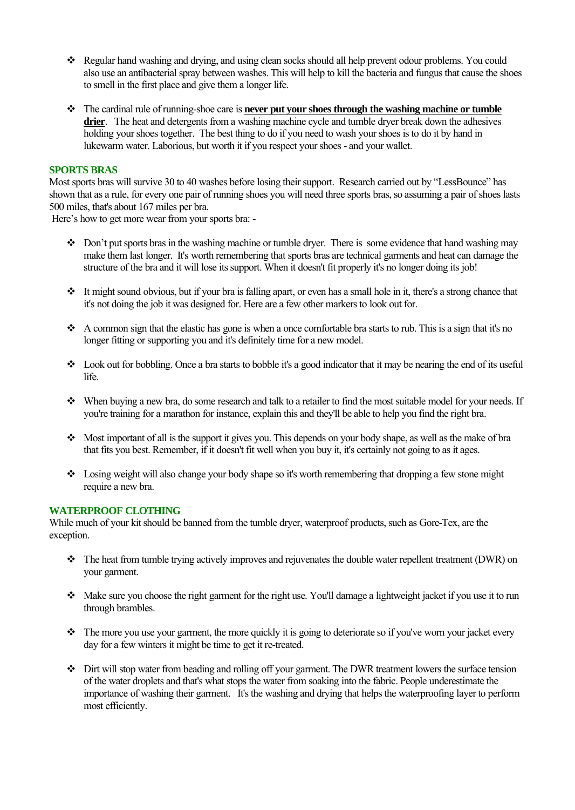- \* Regular hand washing and drying, and using clean socks should all help prevent odour problems. You could also use an antibacterial spray between washes. This will help to kill the bacteria and fungus that cause the shoes to smell in the first place and give them a longer life.
- The cardinal rule of running-shoe care is **never put your shoes through the washing machine or tumble**  drier. The heat and detergents from a washing machine cycle and tumble dryer break down the adhesives holding your shoes together. The best thing to do if you need to wash your shoes is to do it by hand in lukewarm water. Laborious, but worth it if you respect your shoes - and your wallet.

### **SPORTS BRAS**

Most sports bras will survive 30 to 40 washes before losing their support. Research carried out by "LessBounce" has shown that as a rule, for every one pair of running shoes you will need three sports bras, so assuming a pair of shoes lasts 500 miles, that's about 167 miles per bra.

Here's how to get more wear from your sports bra: -

- $\bullet$  Don't put sports bras in the washing machine or tumble dryer. There is some evidence that hand washing may make them last longer. It's worth remembering that sports bras are technical garments and heat can damage the structure of the bra and it will lose its support. When it doesn't fit properly it's no longer doing its job!
- It might sound obvious, but if your bra is falling apart, or even has a small hole in it, there's a strong chance that it's not doing the job it was designed for. Here are a few other markers to look out for.
- A common sign that the elastic has gone is when a once comfortable bra starts to rub. This is a sign that it's no longer fitting or supporting you and it's definitely time for a new model.
- Look out for bobbling. Once a bra starts to bobble it's a good indicator that it may be nearing the end of its useful life.
- When buying a new bra, do some research and talk to a retailer to find the most suitable model for your needs. If you're training for a marathon for instance, explain this and they'll be able to help you find the right bra.
- Most important of all is the support it gives you. This depends on your body shape, as well as the make of bra that fits you best. Remember, if it doesn't fit well when you buy it, it's certainly not going to as it ages.
- $\bullet$  Losing weight will also change your body shape so it's worth remembering that dropping a few stone might require a new bra.

### **WATERPROOF CLOTHING**

While much of your kit should be banned from the tumble dryer, waterproof products, such as Gore-Tex, are the exception.

- \* The heat from tumble trying actively improves and rejuvenates the double water repellent treatment (DWR) on your garment.
- Make sure you choose the right garment for the right use. You'll damage a lightweight jacket if you use it to run through brambles.
- The more you use your garment, the more quickly it is going to deteriorate so if you've worn your jacket every day for a few winters it might be time to get it re-treated.
- Dirt will stop water from beading and rolling off your garment. The DWR treatment lowers the surface tension of the water droplets and that's what stops the water from soaking into the fabric. People underestimate the importance of washing their garment. It's the washing and drying that helps the waterproofing layer to perform most efficiently.